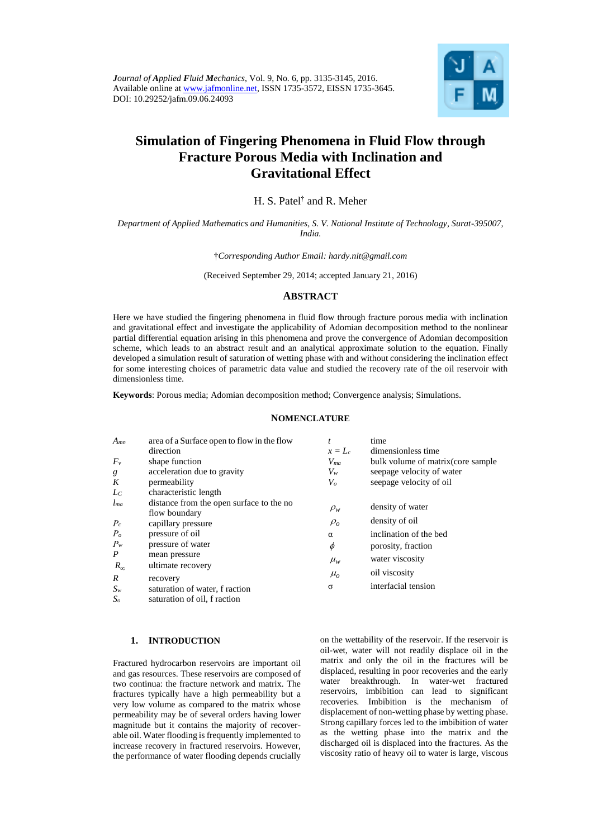

# **Simulation of Fingering Phenomena in Fluid Flow through Fracture Porous Media with Inclination and Gravitational Effect**

H. S. Patel† and R. Meher

*Department of Applied Mathematics and Humanities, S. V. National Institute of Technology, Surat-395007, India.*

†*Corresponding Author Email: hardy.nit@gmail.com* 

(Received September 29, 2014; accepted January 21, 2016)

# **ABSTRACT**

Here we have studied the fingering phenomena in fluid flow through fracture porous media with inclination and gravitational effect and investigate the applicability of Adomian decomposition method to the nonlinear partial differential equation arising in this phenomena and prove the convergence of Adomian decomposition scheme, which leads to an abstract result and an analytical approximate solution to the equation. Finally developed a simulation result of saturation of wetting phase with and without considering the inclination effect for some interesting choices of parametric data value and studied the recovery rate of the oil reservoir with dimensionless time.

**Keywords**: Porous media; Adomian decomposition method; Convergence analysis; Simulations.

## **NOMENCLATURE**

| $A_{mn}$         | area of a Surface open to flow in the flow                | t          | time                                |
|------------------|-----------------------------------------------------------|------------|-------------------------------------|
|                  | direction                                                 | $x=L_c$    | dimensionless time                  |
| $F_v$            | shape function                                            | $V_{ma}$   | bulk volume of matrix (core sample) |
| g                | acceleration due to gravity                               | $V_w$      | seepage velocity of water           |
| K                | permeability                                              | $V_o$      | seepage velocity of oil             |
| $L_{C}$          | characteristic length                                     |            |                                     |
| $l_{ma}$         | distance from the open surface to the no<br>flow boundary | $\rho_w$   | density of water                    |
| $P_c$            | capillary pressure                                        | $\rho_{o}$ | density of oil                      |
| $P_o$            | pressure of oil                                           | $\alpha$   | inclination of the bed              |
| $P_w$            | pressure of water                                         | $\phi$     | porosity, fraction                  |
| $\boldsymbol{P}$ | mean pressure                                             |            | water viscosity                     |
| $R_{\infty}$     | ultimate recovery                                         | $\mu_{w}$  |                                     |
| R                | recovery                                                  | $\mu_{o}$  | oil viscosity                       |
| $S_w$            | saturation of water, f raction                            | $\sigma$   | interfacial tension                 |
| S <sub>o</sub>   | saturation of oil, f raction                              |            |                                     |

# **1. INTRODUCTION**

Fractured hydrocarbon reservoirs are important oil and gas resources. These reservoirs are composed of two continua: the fracture network and matrix. The fractures typically have a high permeability but a very low volume as compared to the matrix whose permeability may be of several orders having lower magnitude but it contains the majority of recoverable oil. Water flooding is frequently implemented to increase recovery in fractured reservoirs. However, the performance of water flooding depends crucially

on the wettability of the reservoir. If the reservoir is oil-wet, water will not readily displace oil in the matrix and only the oil in the fractures will be displaced, resulting in poor recoveries and the early water breakthrough. In water-wet fractured reservoirs, imbibition can lead to significant recoveries. Imbibition is the mechanism of displacement of non-wetting phase by wetting phase. Strong capillary forces led to the imbibition of water as the wetting phase into the matrix and the discharged oil is displaced into the fractures. As the viscosity ratio of heavy oil to water is large, viscous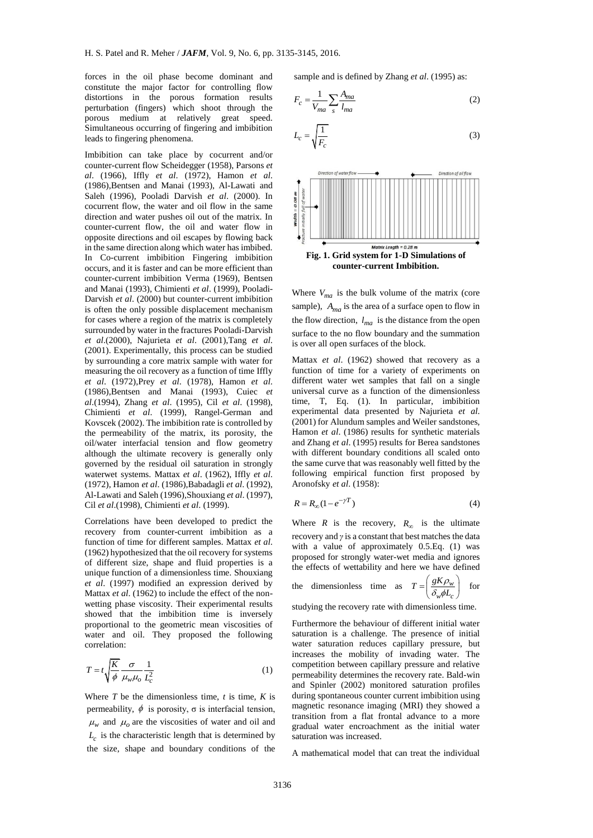forces in the oil phase become dominant and constitute the major factor for controlling flow distortions in the porous formation results perturbation (fingers) which shoot through the porous medium at relatively great speed. Simultaneous occurring of fingering and imbibition leads to fingering phenomena.

Imbibition can take place by cocurrent and/or counter-current flow Scheidegger (1958), Parsons *et al*. (1966), Iffly *et al*. (1972), Hamon *et al*. (1986),Bentsen and Manai (1993), Al-Lawati and Saleh (1996), Pooladi Darvish *et al*. (2000). In cocurrent flow, the water and oil flow in the same direction and water pushes oil out of the matrix. In counter-current flow, the oil and water flow in opposite directions and oil escapes by flowing back in the same direction along which water has imbibed. In Co-current imbibition Fingering imbibition occurs, and it is faster and can be more efficient than counter-current imbibition Verma (1969), Bentsen and Manai (1993), Chimienti *et al*. (1999), Pooladi-Darvish *et al*. (2000) but counter-current imbibition is often the only possible displacement mechanism for cases where a region of the matrix is completely surrounded by water in the fractures Pooladi-Darvish *et al*.(2000), Najurieta *et al*. (2001),Tang *et al*. (2001). Experimentally, this process can be studied by surrounding a core matrix sample with water for measuring the oil recovery as a function of time Iffly *et al*. (1972),Prey *et al*. (1978), Hamon *et al*. (1986),Bentsen and Manai (1993), Cuiec *et al*.(1994), Zhang *et al*. (1995), Cil *et al*. (1998), Chimienti *et al*. (1999), Rangel-German and Kovscek (2002). The imbibition rate is controlled by the permeability of the matrix, its porosity, the oil/water interfacial tension and flow geometry although the ultimate recovery is generally only governed by the residual oil saturation in strongly waterwet systems. Mattax *et al*. (1962), Iffly *et al*. (1972), Hamon *et al*. (1986),Babadagli *et al*. (1992), Al-Lawati and Saleh (1996),Shouxiang *et al*. (1997), Cil *et al*.(1998), Chimienti *et al*. (1999).

Correlations have been developed to predict the recovery from counter-current imbibition as a function of time for different samples. Mattax *et al*. (1962) hypothesized that the oil recovery for systems of different size, shape and fluid properties is a unique function of a dimensionless time. Shouxiang *et al*. (1997) modified an expression derived by Mattax *et al*. (1962) to include the effect of the nonwetting phase viscosity. Their experimental results showed that the imbibition time is inversely proportional to the geometric mean viscosities of water and oil. They proposed the following correlation:

$$
T = t \sqrt{\frac{K}{\phi}} \frac{\sigma}{\mu_w \mu_o} \frac{1}{L_c^2}
$$
 (1)

Where  $T$  be the dimensionless time,  $t$  is time,  $K$  is permeability,  $\phi$  is porosity, σ is interfacial tension,  $\mu_w$  and  $\mu_o$  are the viscosities of water and oil and  $L_c$  is the characteristic length that is determined by the size, shape and boundary conditions of the

sample and is defined by Zhang *et al*. (1995) as:

$$
F_c = \frac{1}{V_{ma}} \sum_s \frac{A_{ma}}{l_{ma}}
$$
 (2)

$$
L_c = \sqrt{\frac{1}{F_c}}
$$
 (3)



Where  $V_{ma}$  is the bulk volume of the matrix (core sample), *Ama* is the area of a surface open to flow in the flow direction,  $l_{ma}$  is the distance from the open surface to the no flow boundary and the summation is over all open surfaces of the block.

Mattax *et al*. (1962) showed that recovery as a function of time for a variety of experiments on different water wet samples that fall on a single universal curve as a function of the dimensionless time, T, Eq. (1). In particular, imbibition experimental data presented by Najurieta *et al*. (2001) for Alundum samples and Weiler sandstones, Hamon *et al*. (1986) results for synthetic materials and Zhang *et al*. (1995) results for Berea sandstones with different boundary conditions all scaled onto the same curve that was reasonably well fitted by the following empirical function first proposed by Aronofsky *et al*. (1958):

$$
R = R_{\infty} (1 - e^{-\gamma T})
$$
\n<sup>(4)</sup>

Where *R* is the recovery,  $R_{\infty}$  is the ultimate recovery and *γ*is a constant that best matches the data with a value of approximately 0.5.Eq. (1) was proposed for strongly water-wet media and ignores the effects of wettability and here we have defined

the dimensionless time as  $T = \frac{g \mathbf{A} \rho_w}{g \rho_w}$  $w^{\boldsymbol{\varphi} \boldsymbol{L}_c}$  $T = \left(\frac{gK\rho_1}{\delta_w \phi L}\right)$  $\rho$  $\delta_{w}\phi$  $=\left(\frac{gK\rho_w}{\delta_w\phi L_c}\right)$ for

studying the recovery rate with dimensionless time.

Furthermore the behaviour of different initial water saturation is a challenge. The presence of initial water saturation reduces capillary pressure, but increases the mobility of invading water. The competition between capillary pressure and relative permeability determines the recovery rate. Bald-win and Spinler (2002) monitored saturation profiles during spontaneous counter current imbibition using magnetic resonance imaging (MRI) they showed a transition from a flat frontal advance to a more gradual water encroachment as the initial water saturation was increased.

A mathematical model that can treat the individual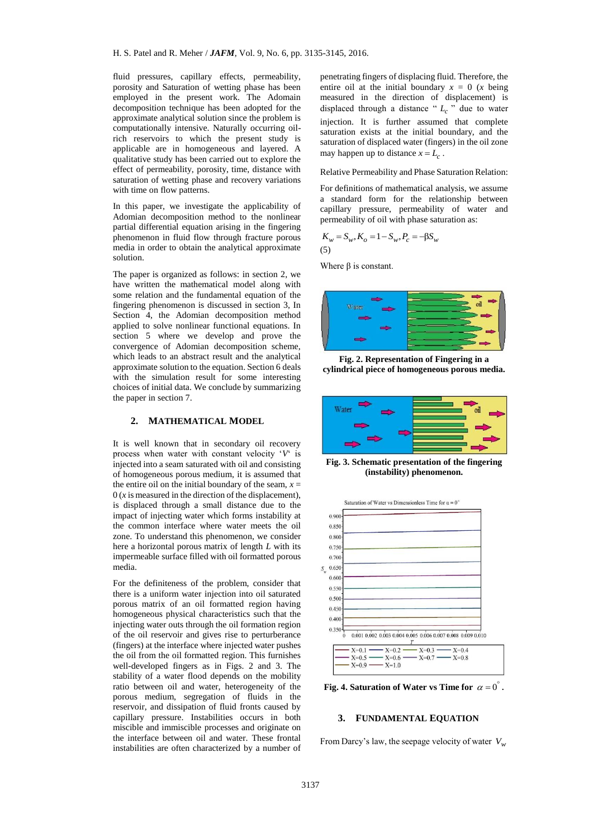fluid pressures, capillary effects, permeability, porosity and Saturation of wetting phase has been employed in the present work. The Adomain decomposition technique has been adopted for the approximate analytical solution since the problem is computationally intensive. Naturally occurring oilrich reservoirs to which the present study is applicable are in homogeneous and layered. A qualitative study has been carried out to explore the effect of permeability, porosity, time, distance with saturation of wetting phase and recovery variations with time on flow patterns.

In this paper, we investigate the applicability of Adomian decomposition method to the nonlinear partial differential equation arising in the fingering phenomenon in fluid flow through fracture porous media in order to obtain the analytical approximate solution.

The paper is organized as follows: in section 2, we have written the mathematical model along with some relation and the fundamental equation of the fingering phenomenon is discussed in section 3, In Section 4, the Adomian decomposition method applied to solve nonlinear functional equations. In section 5 where we develop and prove the convergence of Adomian decomposition scheme, which leads to an abstract result and the analytical approximate solution to the equation. Section 6 deals with the simulation result for some interesting choices of initial data. We conclude by summarizing the paper in section 7.

#### **2. MATHEMATICAL MODEL**

It is well known that in secondary oil recovery process when water with constant velocity '*V*' is injected into a seam saturated with oil and consisting of homogeneous porous medium, it is assumed that the entire oil on the initial boundary of the seam,  $x =$  $0(x)$  is measured in the direction of the displacement), is displaced through a small distance due to the impact of injecting water which forms instability at the common interface where water meets the oil zone. To understand this phenomenon, we consider here a horizontal porous matrix of length *L* with its impermeable surface filled with oil formatted porous media.

For the definiteness of the problem, consider that there is a uniform water injection into oil saturated porous matrix of an oil formatted region having homogeneous physical characteristics such that the injecting water outs through the oil formation region of the oil reservoir and gives rise to perturberance (fingers) at the interface where injected water pushes the oil from the oil formatted region. This furnishes well-developed fingers as in Figs. 2 and 3. The stability of a water flood depends on the mobility ratio between oil and water, heterogeneity of the porous medium, segregation of fluids in the reservoir, and dissipation of fluid fronts caused by capillary pressure. Instabilities occurs in both miscible and immiscible processes and originate on the interface between oil and water. These frontal instabilities are often characterized by a number of penetrating fingers of displacing fluid. Therefore, the entire oil at the initial boundary  $x = 0$  (*x* being measured in the direction of displacement) is displaced through a distance " $L_c$ " due to water injection. It is further assumed that complete saturation exists at the initial boundary, and the saturation of displaced water (fingers) in the oil zone may happen up to distance  $x = L_c$ .

#### Relative Permeability and Phase Saturation Relation:

For definitions of mathematical analysis, we assume a standard form for the relationship between capillary pressure, permeability of water and permeability of oil with phase saturation as:

$$
K_w = S_w, K_o = 1 - S_w, P_c = -\beta S_w
$$
  
(5)

Where β is constant.







**Fig. 3. Schematic presentation of the fingering (instability) phenomenon.**



Fig. 4. Saturation of Water vs Time for  $\alpha = 0^{\degree}$ .

#### **3. FUNDAMENTAL EQUATION**

From Darcy's law, the seepage velocity of water *Vw*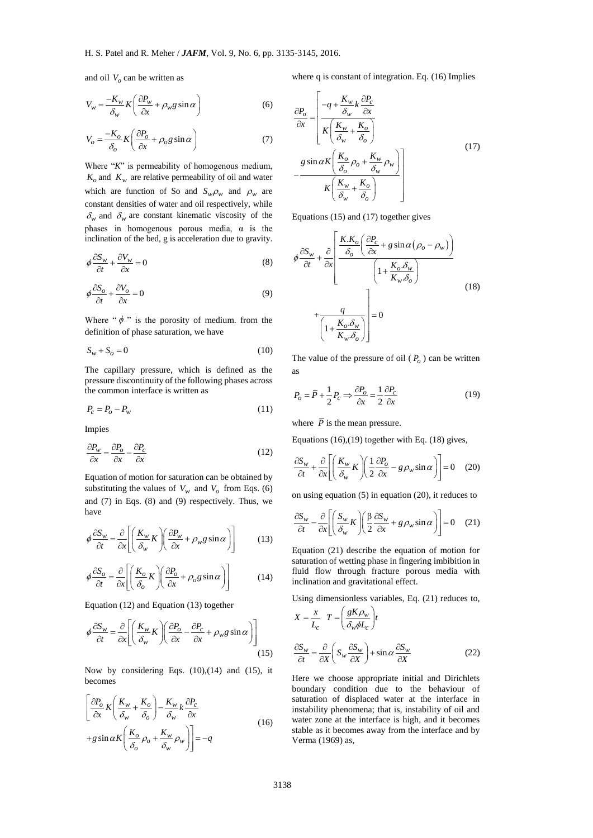and oil *Vo* can be written as

$$
V_w = \frac{-K_w}{\delta_w} K \left( \frac{\partial P_w}{\partial x} + \rho_w g \sin \alpha \right)
$$
 (6)

$$
V_o = \frac{-K_o}{\delta_o} K \left( \frac{\partial P_o}{\partial x} + \rho_o g \sin \alpha \right)
$$
 (7)

Where "*K*" is permeability of homogenous medium,  $K_o$  and  $K_w$  are relative permeability of oil and water which are function of So and  $S_w \rho_w$  and  $\rho_w$  are constant densities of water and oil respectively, while  $\delta_w$  and  $\delta_w$  are constant kinematic viscosity of the phases in homogenous porous media,  $\alpha$  is the inclination of the bed, g is acceleration due to gravity.

$$
\phi \frac{\partial S_w}{\partial t} + \frac{\partial V_w}{\partial x} = 0
$$
\n(8)

$$
\phi \frac{\partial S_o}{\partial t} + \frac{\partial V_o}{\partial x} = 0 \tag{9}
$$

Where " $\phi$ " is the porosity of medium. from the definition of phase saturation, we have

$$
S_w + S_o = 0 \tag{10}
$$

The capillary pressure, which is defined as the pressure discontinuity of the following phases across the common interface is written as

$$
P_c = P_o - P_w \tag{11}
$$

Impies

$$
\frac{\partial P_w}{\partial x} = \frac{\partial P_o}{\partial x} - \frac{\partial P_c}{\partial x} \tag{12}
$$

Equation of motion for saturation can be obtained by substituting the values of  $V_w$  and  $V_o$  from Eqs. (6) and (7) in Eqs. (8) and (9) respectively. Thus, we have

$$
\phi \frac{\partial S_w}{\partial t} = \frac{\partial}{\partial x} \left[ \left( \frac{K_w}{\delta_w} K \right) \left( \frac{\partial P_w}{\partial x} + \rho_w g \sin \alpha \right) \right]
$$
(13)

$$
\phi \frac{\partial S_o}{\partial t} = \frac{\partial}{\partial x} \left[ \left( \frac{K_o}{\delta_o} K \right) \left( \frac{\partial P_o}{\partial x} + \rho_o g \sin \alpha \right) \right]
$$
(14)

Equation (12) and Equation (13) together

$$
\phi \frac{\partial S_w}{\partial t} = \frac{\partial}{\partial x} \left[ \left( \frac{K_w}{\delta_w} K \right) \left( \frac{\partial P_o}{\partial x} - \frac{\partial P_c}{\partial x} + \rho_w g \sin \alpha \right) \right]
$$
(15)

Now by considering Eqs. (10),(14) and (15), it becomes

$$
\left[\frac{\partial P_o}{\partial x} K \left( \frac{K_w}{\delta_w} + \frac{K_o}{\delta_o} \right) - \frac{K_w}{\delta_w} k \frac{\partial P_c}{\partial x} + g \sin \alpha K \left( \frac{K_o}{\delta_o} \rho_o + \frac{K_w}{\delta_w} \rho_w \right) \right] = -q
$$
\n(16)

where q is constant of integration. Eq. (16) Implies

$$
\frac{\partial P_o}{\partial x} = \left[ \frac{-q + \frac{K_w}{\delta_w} k \frac{\partial P_c}{\partial x}}{K \left( \frac{K_w}{\delta_w} + \frac{K_o}{\delta_o} \right)} \right]
$$
\n
$$
g \sin \alpha K \left( \frac{K_o}{\delta_o} \rho_o + \frac{K_w}{\delta_w} \rho_w \right)
$$
\n
$$
K \left( \frac{K_w}{\delta_w} + \frac{K_o}{\delta_o} \right)
$$
\n(17)

Equations (15) and (17) together gives

$$
\phi \frac{\partial S_w}{\partial t} + \frac{\partial}{\partial x} \left[ \frac{K.K_o}{\delta_o} \left( \frac{\partial P_c}{\partial x} + g \sin \alpha \left( \rho_o - \rho_w \right) \right) \right]
$$
\n
$$
+ \frac{q}{\left( 1 + \frac{K_o \delta_w}{K_w \delta_o} \right)} \right] = 0
$$
\n(18)

The value of the pressure of oil  $(P_o)$  can be written as

$$
P_o = \overline{P} + \frac{1}{2} P_c \Rightarrow \frac{\partial P_o}{\partial x} = \frac{1}{2} \frac{\partial P_c}{\partial x}
$$
(19)

where  $\overline{P}$  is the mean pressure.

Equations (16),(19) together with Eq. (18) gives,

$$
\frac{\partial S_w}{\partial t} + \frac{\partial}{\partial x} \left[ \left( \frac{K_w}{\delta_w} K \right) \left( \frac{1}{2} \frac{\partial P_o}{\partial x} - g \rho_w \sin \alpha \right) \right] = 0 \quad (20)
$$

on using equation (5) in equation (20), it reduces to

$$
\frac{\partial S_w}{\partial t} - \frac{\partial}{\partial x} \left[ \left( \frac{S_w}{\delta_w} K \right) \left( \frac{\beta}{2} \frac{\partial S_w}{\partial x} + g \rho_w \sin \alpha \right) \right] = 0 \quad (21)
$$

Equation (21) describe the equation of motion for saturation of wetting phase in fingering imbibition in fluid flow through fracture porous media with inclination and gravitational effect.

Using dimensionless variables, Eq. (21) reduces to,

$$
X = \frac{x}{L_c} \quad T = \left(\frac{gK\rho_w}{\delta_w \phi L_c}\right) t
$$

$$
\frac{\partial S_w}{\partial t} = \frac{\partial}{\partial X} \left( S_w \frac{\partial S_w}{\partial X} \right) + \sin \alpha \frac{\partial S_w}{\partial X} \tag{22}
$$

Here we choose appropriate initial and Dirichlets boundary condition due to the behaviour of saturation of displaced water at the interface in instability phenomena; that is, instability of oil and water zone at the interface is high, and it becomes stable as it becomes away from the interface and by Verma (1969) as,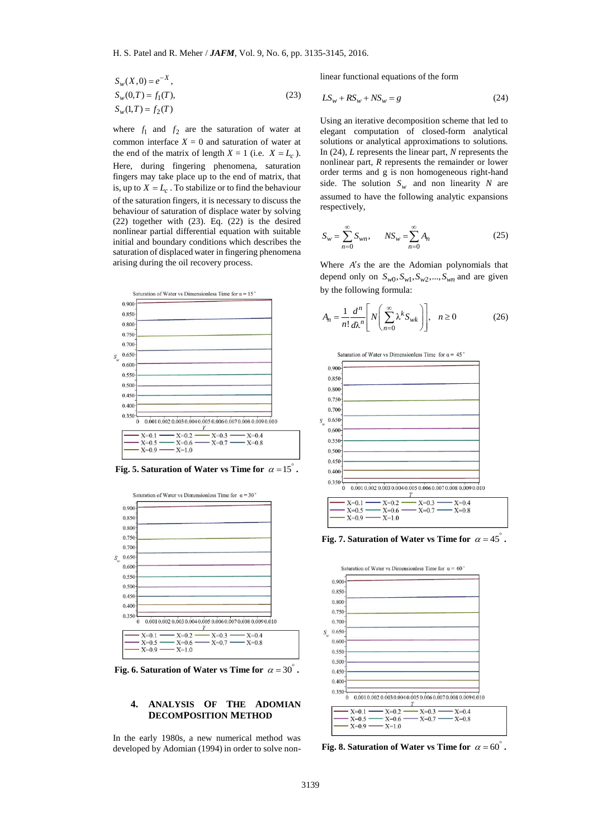$$
S_w(X,0) = e^{-X},
$$
  
\n
$$
S_w(0,T) = f_1(T),
$$
  
\n
$$
S_w(1,T) = f_2(T)
$$
\n(23)

where  $f_1$  and  $f_2$  are the saturation of water at common interface  $X = 0$  and saturation of water at the end of the matrix of length  $X = 1$  (i.e.  $X = L_c$ ). Here, during fingering phenomena, saturation fingers may take place up to the end of matrix, that is, up to  $X = L_c$ . To stabilize or to find the behaviour of the saturation fingers, it is necessary to discuss the behaviour of saturation of displace water by solving (22) together with (23). Eq. (22) is the desired nonlinear partial differential equation with suitable initial and boundary conditions which describes the saturation of displaced water in fingering phenomena arising during the oil recovery process.



Fig. 5. Saturation of Water vs Time for  $\alpha = 15^{\circ}$ .



Fig. 6. Saturation of Water vs Time for  $\alpha = 30^{\circ}$ .

# **4. ANALYSIS OF THE ADOMIAN DECOMPOSITION METHOD**

In the early 1980s, a new numerical method was developed by Adomian (1994) in order to solve nonlinear functional equations of the form

$$
LS_w + RS_w + NS_w = g \tag{24}
$$

Using an iterative decomposition scheme that led to elegant computation of closed-form analytical solutions or analytical approximations to solutions. In (24), *L* represents the linear part, *N* represents the nonlinear part, *R* represents the remainder or lower order terms and g is non homogeneous right-hand side. The solution  $S_w$  and non linearity *N* are assumed to have the following analytic expansions respectively,

$$
S_w = \sum_{n=0}^{\infty} S_{wn}, \qquad NS_w = \sum_{n=0}^{\infty} A_n
$$
 (25)

Where  $A's$  the are the Adomian polynomials that depend only on  $S_{w0}$ ,  $S_{w1}$ ,  $S_{w2}$ , ...,  $S_{wn}$  and are given by the following formula:

$$
A_n = \frac{1}{n!} \frac{d^n}{d\lambda^n} \left[ N \left( \sum_{n=0}^{\infty} \lambda^k S_{wk} \right) \right], \quad n \ge 0
$$
 (26)



Fig. 7. Saturation of Water vs Time for  $\alpha = 45^\circ$ .



Fig. 8. Saturation of Water vs Time for  $\alpha = 60^\circ$ .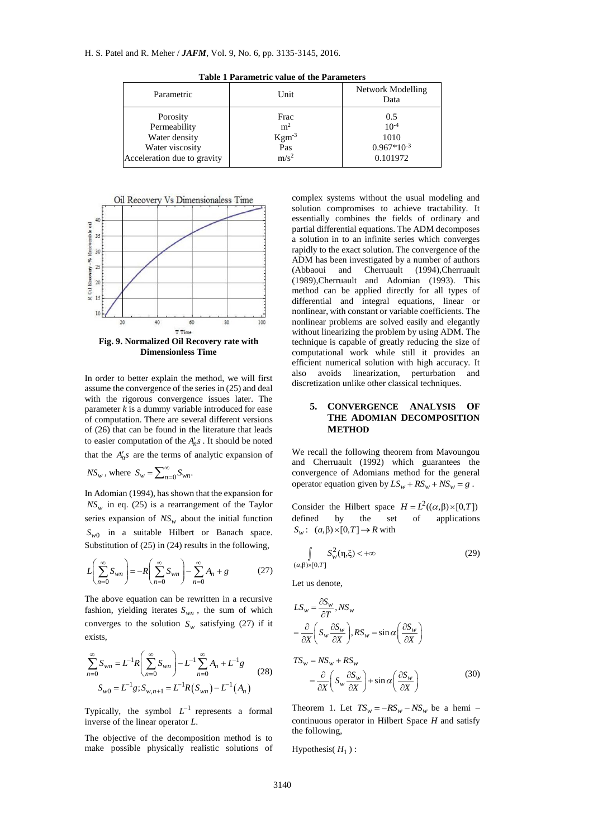| Parametric                  | Unit             | Network Modelling<br>Data |
|-----------------------------|------------------|---------------------------|
| Porosity                    | Frac             | 0.5                       |
| Permeability                | m <sup>2</sup>   | $10^{-4}$                 |
| Water density               | $Kgm-3$          | 1010                      |
| Water viscosity             | Pas              | $0.967*10^{-3}$           |
| Acceleration due to gravity | m/s <sup>2</sup> | 0.101972                  |

**Table 1 Parametric value of the Parameters**



**Dimensionless Time**

In order to better explain the method, we will first assume the convergence of the series in (25) and deal with the rigorous convergence issues later. The parameter *k* is a dummy variable introduced for ease of computation. There are several different versions of (26) that can be found in the literature that leads to easier computation of the  $A'_n s$ . It should be noted that the  $A'_n s$  are the terms of analytic expansion of

$$
NS_w
$$
, where  $S_w = \sum_{n=0}^{\infty} S_{wn}$ .

In Adomian (1994), has shown that the expansion for  $NS_w$  in eq. (25) is a rearrangement of the Taylor series expansion of  $NS_w$  about the initial function  $S_{w0}$  in a suitable Hilbert or Banach space. Substitution of (25) in (24) results in the following,

$$
L\left(\sum_{n=0}^{\infty} S_{wn}\right) = -R\left(\sum_{n=0}^{\infty} S_{wn}\right) - \sum_{n=0}^{\infty} A_n + g \tag{27}
$$

The above equation can be rewritten in a recursive fashion, yielding iterates  $S_{wn}$ , the sum of which converges to the solution  $S_w$  satisfying (27) if it exists,

$$
\sum_{n=0}^{\infty} S_{wn} = L^{-1} R \left( \sum_{n=0}^{\infty} S_{wn} \right) - L^{-1} \sum_{n=0}^{\infty} A_n + L^{-1} g
$$
\n
$$
S_{w0} = L^{-1} g; S_{w,n+1} = L^{-1} R (S_{wn}) - L^{-1} (A_n)
$$
\n(28)

Typically, the symbol  $L^{-1}$  represents a formal inverse of the linear operator *L*.

The objective of the decomposition method is to make possible physically realistic solutions of complex systems without the usual modeling and solution compromises to achieve tractability. It essentially combines the fields of ordinary and partial differential equations. The ADM decomposes a solution in to an infinite series which converges rapidly to the exact solution. The convergence of the ADM has been investigated by a number of authors (Abbaoui and Cherruault (1994),Cherruault (1989),Cherruault and Adomian (1993). This method can be applied directly for all types of differential and integral equations, linear or nonlinear, with constant or variable coefficients. The nonlinear problems are solved easily and elegantly without linearizing the problem by using ADM. The technique is capable of greatly reducing the size of computational work while still it provides an efficient numerical solution with high accuracy. It also avoids linearization, perturbation and discretization unlike other classical techniques.

# **5. CONVERGENCE ANALYSIS OF THE ADOMIAN DECOMPOSITION METHOD**

We recall the following theorem from Mavoungou and Cherruault (1992) which guarantees the convergence of Adomians method for the general operator equation given by  $LS_w + RS_w + NS_w = g$ .

Consider the Hilbert space  $H = L^2((\alpha, \beta) \times [0, T])$ defined by the set of applications  $S_w: (a, \beta) \times [0, T] \to R$  with

$$
\int_{(a,\beta)\times[0,T]} S_w^2(\eta,\xi) < +\infty
$$
\n(29)

Let us denote,

$$
LS_{w} = \frac{\partial S_{w}}{\partial T}, NS_{w}
$$
  
\n
$$
= \frac{\partial}{\partial X} \left( S_{w} \frac{\partial S_{w}}{\partial X} \right), RS_{w} = \sin \alpha \left( \frac{\partial S_{w}}{\partial X} \right)
$$
  
\n
$$
TS_{w} = NS_{w} + RS_{w}
$$
  
\n
$$
= \frac{\partial}{\partial X} \left( S_{w} \frac{\partial S_{w}}{\partial X} \right) + \sin \alpha \left( \frac{\partial S_{w}}{\partial X} \right)
$$
(30)

Theorem 1. Let  $TS_w = -RS_w - NS_w$  be a hemi – continuous operator in Hilbert Space *H* and satisfy the following,

Hypothesis( $H_1$ ):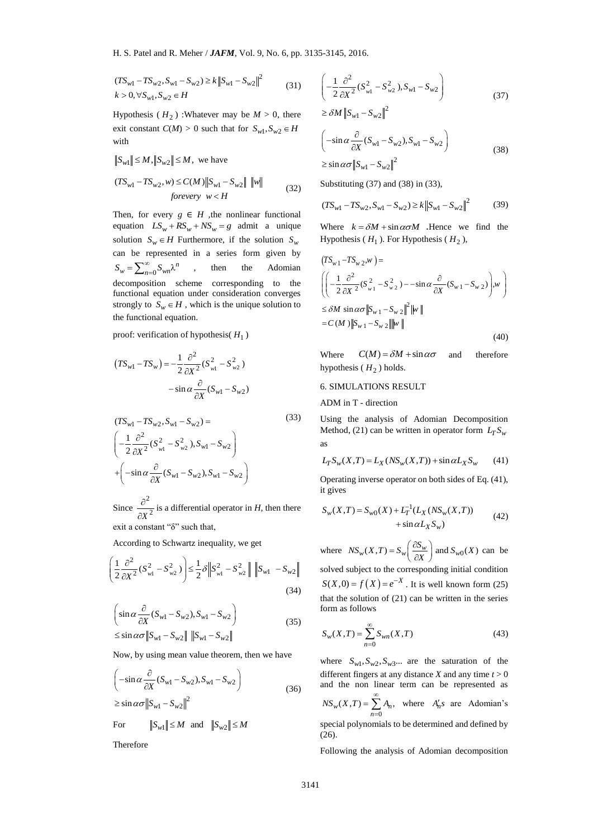$$
(TS_{w1} - TS_{w2}, S_{w1} - S_{w2}) \ge k ||S_{w1} - S_{w2}||^2
$$
  

$$
k > 0, \forall S_{w1}, S_{w2} \in H
$$
 (31)

Hypothesis ( $H_2$ ) :Whatever may be  $M > 0$ , there exit constant  $C(M) > 0$  such that for  $S_{w1}, S_{w2} \in H$ with

 $S_{w1}$   $\leq M$ ,  $\|S_{w2}\| \leq M$ , we have

$$
(TS_{w1} - TS_{w2}, w) \le C(M) \|S_{w1} - S_{w2}\| \|w\|
$$
  
forevery  $w < H$  (32)

2<br>
(31)<br>  $I > 0$ , there<br>  $\sqrt{1}$ ,  $S_{w2} \in H$ <br>
(32)<br>
: functional<br>
a unique<br>
olution  $S_w$ <br>
given by<br>
Adomian<br>
g to the<br>
solution to<br>
e solution to<br>
(33)<br>
(33)<br>
(33)<br>
(35)<br>
we have<br>
(36)<br>
(36)<br>
(36)<br>
(36)<br>
(36)<br>
(36)<br>
(36)<br> Then, for every  $g \in H$ , the nonlinear functional equation  $LS_w + RS_w + NS_w = g$  admit a unique solution  $S_w \in H$  Furthermore, if the solution  $S_w$ can be represented in a series form given by  $S_w = \sum_{n=0}^{\infty} S_{wn} \lambda^n$ , then the Adomian decomposition scheme corresponding to the functional equation under consideration converges strongly to  $S_w \in H$ , which is the unique solution to the functional equation.

proof: verification of hypothesis( *H*1 )

$$
(TS_{w1} - TS_w) = -\frac{1}{2} \frac{\partial^2}{\partial X^2} (S_{w1}^2 - S_{w2}^2)
$$

$$
- \sin \alpha \frac{\partial}{\partial X} (S_{w1} - S_{w2})
$$

$$
(TS_{w1} - TS_{w2}, S_{w1} - S_{w2}) =
$$
\n
$$
\left( -\frac{1}{2} \frac{\partial^2}{\partial X^2} (S_{w1}^2 - S_{w2}^2), S_{w1} - S_{w2} \right)
$$
\n
$$
+ \left( -\sin \alpha \frac{\partial}{\partial X} (S_{w1} - S_{w2}), S_{w1} - S_{w2} \right)
$$

Since 2  $X^2$  $\partial$  $\partial$ is a differential operator in *H*, then there exit a constant "δ" such that,

According to Schwartz inequality, we get  
\n
$$
\left(\frac{1}{2}\frac{\partial^2}{\partial X^2}(S_{w1}^2 - S_{w2}^2)\right) \leq \frac{1}{2}\delta \left\|S_{w1}^2 - S_{w2}^2\right\| \left\|S_{w1} - S_{w2}\right\|
$$
\n(34)

$$
\begin{aligned}\n&\left(\sin\alpha \frac{\partial}{\partial X}(S_{w1} - S_{w2}), S_{w1} - S_{w2}\right) \\
&\leq \sin\alpha \sigma \|\mathbf{S}_{w1} - \mathbf{S}_{w2}\| \|\mathbf{S}_{w1} - \mathbf{S}_{w2}\|\n\end{aligned} \tag{35}
$$

Now, by using mean value theorem, then we have

$$
\left(-\sin\alpha\frac{\partial}{\partial X}(S_{w1}-S_{w2}),S_{w1}-S_{w2}\right)
$$
\n
$$
\sin\alpha = -\frac{|\mathbf{S}|}{|\mathbf{S}|}\mathbf{S} = \frac{|\mathbf{S}|^2}{|\mathbf{S}|^2}
$$
\n(36)

 $\geq$  sin  $\alpha\sigma$   $\|S_{w1} - S_{w2}\|$ 

For 
$$
||S_{w1}|| \leq M
$$
 and  $||S_{w2}|| \leq M$ 

Therefore

$$
\left(-\frac{1}{2}\frac{\partial^2}{\partial X^2}(S_{w1}^2 - S_{w2}^2), S_{w1} - S_{w2}\right)
$$
\n(37)

 $\geq \delta M \left\| S_{w1} - S_{w2} \right\|^2$ 

$$
\left(-\sin\alpha\frac{\partial}{\partial X}(S_{w1} - S_{w2}), S_{w1} - S_{w2}\right)
$$
  

$$
\geq \sin\alpha\sigma \|S_{w1} - S_{w2}\|^2
$$
 (38)

Substituting (37) and (38) in (33),

$$
(TS_{w1} - TS_{w2}, S_{w1} - S_{w2}) \ge k ||S_{w1} - S_{w2}||^2
$$
 (39)

Where  $k = \delta M + \sin \alpha \sigma M$  .Hence we find the Hypothesis ( $H_1$ ). For Hypothesis ( $H_2$ ),

$$
(TS_{w1} - TS_{w2}, w) =
$$
\n
$$
\left( \left( -\frac{1}{2} \frac{\partial^2}{\partial X^2} (S_{w1}^2 - S_{w2}^2) - -\sin \alpha \frac{\partial}{\partial X} (S_{w1} - S_{w2}) \right) w \right)
$$
\n
$$
\leq \delta M \sin \alpha \sigma \|S_{w1} - S_{w2}\|^2 \|w\|
$$
\n
$$
= C(M) \|S_{w1} - S_{w2}\| \|w\|
$$
\n(40)

Where  $C(M) = \delta M + \sin \alpha \sigma$ and therefore hypothesis ( $H<sub>2</sub>$ ) holds.

# 6. SIMULATIONS RESULT

ADM in T - direction

(33)

Using the analysis of Adomian Decomposition Method, (21) can be written in operator form  $L_T S_w$ as

$$
L_T S_w(X,T) = L_X(NS_w(X,T)) + \sin \alpha L_X S_w \qquad (41)
$$

Operating inverse operator on both sides of Eq. (41), it gives

$$
S_w(X,T) = S_{w0}(X) + L_T^{-1}(L_X(NS_w(X,T))) + \sin \alpha L_X S_w)
$$
\n(42)

where  $NS_w(X,T) = S_w\left(\frac{\partial S_w}{\partial X}\right)$  and  $S_{w0}(X)$  $= S_w \left( \frac{\partial S_w}{\partial X} \right)$  and  $S_{w0}(X)$  can be solved subject to the corresponding initial condition  $S(X, 0) = f(X) = e^{-X}$ . It is well known form (25)

that the solution of (21) can be written in the series form as follows

$$
S_w(X,T) = \sum_{n=0}^{\infty} S_{wn}(X,T)
$$
 (43)

where  $S_{w1}, S_{w2}, S_{w3}...$  are the saturation of the different fingers at any distance *X* and any time  $t > 0$ and the non linear term can be represented as  $C_w(X,T) = \sum_{n=0} A_n,$  $NS_w(X,T) = \sum_{n=1}^{\infty} A_n$  $=\sum_{n=0} A_n$ , where  $A'_n s$  are Adomian's

special polynomials to be determined and defined by  $(26)$ .

Following the analysis of Adomian decomposition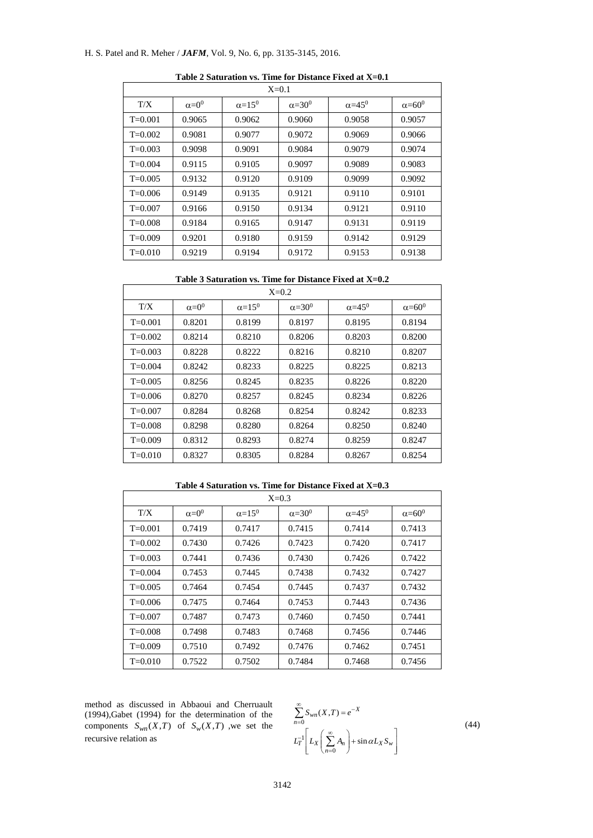# H. S. Patel and R. Meher / *JAFM*, Vol. 9, No. 6, pp. 3135-3145, 2016.

F

Ť

| $X=0.1$     |                |                           |                 |                     |                           |  |
|-------------|----------------|---------------------------|-----------------|---------------------|---------------------------|--|
| T/X         | $\alpha = 0^0$ | $\alpha$ =15 <sup>0</sup> | $\alpha = 30^0$ | $\alpha = 45^\circ$ | $\alpha$ =60 <sup>0</sup> |  |
| $T=0.001$   | 0.9065         | 0.9062                    | 0.9060          | 0.9058              | 0.9057                    |  |
| $T=0.002$   | 0.9081         | 0.9077                    | 0.9072          | 0.9069              | 0.9066                    |  |
| $T=0.003$   | 0.9098         | 0.9091                    | 0.9084          | 0.9079              | 0.9074                    |  |
| $T=0.004$   | 0.9115         | 0.9105                    | 0.9097          | 0.9089              | 0.9083                    |  |
| $T = 0.005$ | 0.9132         | 0.9120                    | 0.9109          | 0.9099              | 0.9092                    |  |
| $T=0.006$   | 0.9149         | 0.9135                    | 0.9121          | 0.9110              | 0.9101                    |  |
| $T=0.007$   | 0.9166         | 0.9150                    | 0.9134          | 0.9121              | 0.9110                    |  |
| $T=0.008$   | 0.9184         | 0.9165                    | 0.9147          | 0.9131              | 0.9119                    |  |
| $T=0.009$   | 0.9201         | 0.9180                    | 0.9159          | 0.9142              | 0.9129                    |  |
| $T = 0.010$ | 0.9219         | 0.9194                    | 0.9172          | 0.9153              | 0.9138                    |  |

**Table 2 Saturation vs. Time for Distance Fixed at X=0.1**

| $X=0.2$     |                |                           |                     |                     |                     |  |  |
|-------------|----------------|---------------------------|---------------------|---------------------|---------------------|--|--|
| T/X         | $\alpha = 0^0$ | $\alpha$ =15 <sup>0</sup> | $\alpha = 30^\circ$ | $\alpha = 45^\circ$ | $\alpha = 60^\circ$ |  |  |
| $T=0.001$   | 0.8201         | 0.8199                    | 0.8197              | 0.8195              | 0.8194              |  |  |
| $T=0.002$   | 0.8214         | 0.8210                    | 0.8206              | 0.8203              | 0.8200              |  |  |
| $T=0.003$   | 0.8228         | 0.8222                    | 0.8216              | 0.8210              | 0.8207              |  |  |
| $T=0.004$   | 0.8242         | 0.8233                    | 0.8225              | 0.8225              | 0.8213              |  |  |
| $T=0.005$   | 0.8256         | 0.8245                    | 0.8235              | 0.8226              | 0.8220              |  |  |
| $T=0.006$   | 0.8270         | 0.8257                    | 0.8245              | 0.8234              | 0.8226              |  |  |
| $T = 0.007$ | 0.8284         | 0.8268                    | 0.8254              | 0.8242              | 0.8233              |  |  |
| $T=0.008$   | 0.8298         | 0.8280                    | 0.8264              | 0.8250              | 0.8240              |  |  |
| $T=0.009$   | 0.8312         | 0.8293                    | 0.8274              | 0.8259              | 0.8247              |  |  |
| $T = 0.010$ | 0.8327         | 0.8305                    | 0.8284              | 0.8267              | 0.8254              |  |  |

**Table 4 Saturation vs. Time for Distance Fixed at X=0.3**

| $X=0.3$     |                |                 |                     |                     |                     |  |  |
|-------------|----------------|-----------------|---------------------|---------------------|---------------------|--|--|
| T/X         | $\alpha = 0^0$ | $\alpha = 15^0$ | $\alpha = 30^\circ$ | $\alpha = 45^\circ$ | $\alpha = 60^\circ$ |  |  |
| $T=0.001$   | 0.7419         | 0.7417          | 0.7415              | 0.7414              | 0.7413              |  |  |
| $T=0.002$   | 0.7430         | 0.7426          | 0.7423              | 0.7420              | 0.7417              |  |  |
| $T=0.003$   | 0.7441         | 0.7436          | 0.7430              | 0.7426              | 0.7422              |  |  |
| $T=0.004$   | 0.7453         | 0.7445          | 0.7438              | 0.7432              | 0.7427              |  |  |
| $T=0.005$   | 0.7464         | 0.7454          | 0.7445              | 0.7437              | 0.7432              |  |  |
| $T=0.006$   | 0.7475         | 0.7464          | 0.7453              | 0.7443              | 0.7436              |  |  |
| $T=0.007$   | 0.7487         | 0.7473          | 0.7460              | 0.7450              | 0.7441              |  |  |
| $T=0.008$   | 0.7498         | 0.7483          | 0.7468              | 0.7456              | 0.7446              |  |  |
| $T=0.009$   | 0.7510         | 0.7492          | 0.7476              | 0.7462              | 0.7451              |  |  |
| $T = 0.010$ | 0.7522         | 0.7502          | 0.7484              | 0.7468              | 0.7456              |  |  |

method as discussed in Abbaoui and Cherruault (1994),Gabet (1994) for the determination of the components  $S_{wn}(X,T)$  of  $S_w(X,T)$ , we set the recursive relation as

$$
\sum_{n=0}^{\infty} S_{wn}(X,T) = e^{-X}
$$
\n
$$
L_T^{-1} \left[ L_X \left( \sum_{n=0}^{\infty} A_n \right) + \sin \alpha L_X S_w \right]
$$
\n(44)

٦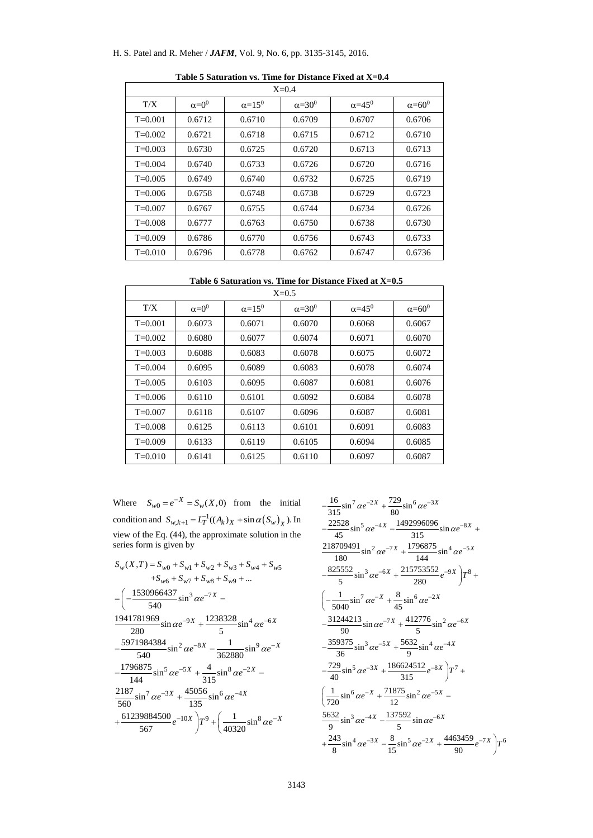# H. S. Patel and R. Meher / *JAFM*, Vol. 9, No. 6, pp. 3135-3145, 2016.

| $X=0.4$     |                |                           |                     |                     |                     |  |  |
|-------------|----------------|---------------------------|---------------------|---------------------|---------------------|--|--|
| T/X         | $\alpha = 0^0$ | $\alpha$ =15 <sup>0</sup> | $\alpha = 30^\circ$ | $\alpha = 45^\circ$ | $\alpha = 60^\circ$ |  |  |
| $T=0.001$   | 0.6712         | 0.6710                    | 0.6709              | 0.6707              | 0.6706              |  |  |
| $T=0.002$   | 0.6721         | 0.6718                    | 0.6715              | 0.6712              | 0.6710              |  |  |
| $T=0.003$   | 0.6730         | 0.6725                    | 0.6720              | 0.6713              | 0.6713              |  |  |
| $T=0.004$   | 0.6740         | 0.6733                    | 0.6726              | 0.6720              | 0.6716              |  |  |
| $T = 0.005$ | 0.6749         | 0.6740                    | 0.6732              | 0.6725              | 0.6719              |  |  |
| $T=0.006$   | 0.6758         | 0.6748                    | 0.6738              | 0.6729              | 0.6723              |  |  |
| $T=0.007$   | 0.6767         | 0.6755                    | 0.6744              | 0.6734              | 0.6726              |  |  |
| $T=0.008$   | 0.6777         | 0.6763                    | 0.6750              | 0.6738              | 0.6730              |  |  |
| $T=0.009$   | 0.6786         | 0.6770                    | 0.6756              | 0.6743              | 0.6733              |  |  |
| $T = 0.010$ | 0.6796         | 0.6778                    | 0.6762              | 0.6747              | 0.6736              |  |  |

**Table 5 Saturation vs. Time for Distance Fixed at X=0.4**

| Table 6 Saturation vs. Time for Distance Fixed at X=0.5 |  |
|---------------------------------------------------------|--|

| $X=0.5$     |                |               |                     |                     |                 |  |  |
|-------------|----------------|---------------|---------------------|---------------------|-----------------|--|--|
| T/X         | $\alpha = 0^0$ | $\alpha=15^0$ | $\alpha = 30^\circ$ | $\alpha = 45^\circ$ | $\alpha = 60^0$ |  |  |
| $T = 0.001$ | 0.6073         | 0.6071        | 0.6070              | 0.6068              | 0.6067          |  |  |
| $T=0.002$   | 0.6080         | 0.6077        | 0.6074              | 0.6071              | 0.6070          |  |  |
| $T=0.003$   | 0.6088         | 0.6083        | 0.6078              | 0.6075              | 0.6072          |  |  |
| $T=0.004$   | 0.6095         | 0.6089        | 0.6083              | 0.6078              | 0.6074          |  |  |
| $T=0.005$   | 0.6103         | 0.6095        | 0.6087              | 0.6081              | 0.6076          |  |  |
| $T=0.006$   | 0.6110         | 0.6101        | 0.6092              | 0.6084              | 0.6078          |  |  |
| $T=0.007$   | 0.6118         | 0.6107        | 0.6096              | 0.6087              | 0.6081          |  |  |
| $T = 0.008$ | 0.6125         | 0.6113        | 0.6101              | 0.6091              | 0.6083          |  |  |
| $T=0.009$   | 0.6133         | 0.6119        | 0.6105              | 0.6094              | 0.6085          |  |  |
| $T = 0.010$ | 0.6141         | 0.6125        | 0.6110              | 0.6097              | 0.6087          |  |  |

Where  $S_{w0} = e^{-X} = S_w(X,0)$  from the initial condition and  $S_{w,k+1} = L_T^{-1}((A_k)_X + \sin \alpha (S_w)_X)$ . In view of the Eq. (44), the approximate solution in the series form is given by

$$
S_w(X,T) = S_{w0} + S_{w1} + S_{w2} + S_{w3} + S_{w4} + S_{w5}
$$
  
+
$$
S_{w6} + S_{w7} + S_{w8} + S_{w9} + ...
$$
  
= 
$$
\left(-\frac{1530966437}{540}\sin^3 \alpha e^{-7X} - 1941781969 \sin \alpha e^{-9X} + \frac{1238328}{5}\sin^4 \alpha e^{-6X} \right.
$$
  

$$
\frac{-5971984384}{540}\sin^2 \alpha e^{-8X} - \frac{1}{362880}\sin^9 \alpha e^{-X}
$$
  

$$
-\frac{1796875}{144}\sin^5 \alpha e^{-5X} + \frac{4}{315}\sin^8 \alpha e^{-2X} - \frac{2187}{560}\sin^7 \alpha e^{-3X} + \frac{45056}{135}\sin^6 \alpha e^{-4X} + \frac{61239884500}{567}e^{-10X} \right) T^9 + \left(\frac{1}{40320}\sin^8 \alpha e^{-X}\right)
$$

$$
-\frac{16}{315}\sin^7 \alpha e^{-2X} + \frac{729}{80}\sin^6 \alpha e^{-3X}
$$
\n
$$
-\frac{22528}{45}\sin^5 \alpha e^{-4X} - \frac{1492996096}{315}\sin \alpha e^{-8X} + \frac{218709491}{180}\sin^2 \alpha e^{-7X} + \frac{1796875}{144}\sin^4 \alpha e^{-5X}
$$
\n
$$
-\frac{825552}{5}\sin^3 \alpha e^{-6X} + \frac{215753552}{280}e^{-9X} \Big)T^8 + \left(-\frac{1}{5040}\sin^7 \alpha e^{-X} + \frac{8}{45}\sin^6 \alpha e^{-2X} - \frac{31244213}{90}\sin \alpha e^{-7X} + \frac{412776}{5}\sin^2 \alpha e^{-6X} - \frac{359375}{36}\sin^3 \alpha e^{-5X} + \frac{5632}{9}\sin^4 \alpha e^{-4X} - \frac{729}{40}\sin^5 \alpha e^{-3X} + \frac{186624512}{315}e^{-8X} \Big)T^7 + \left(\frac{1}{720}\sin^6 \alpha e^{-X} + \frac{71875}{12}\sin^2 \alpha e^{-5X} - \frac{5632}{9}\sin^3 \alpha e^{-4X} - \frac{137592}{5}\sin \alpha e^{-6X} + \frac{243}{8}\sin^4 \alpha e^{-3X} - \frac{8}{15}\sin^5 \alpha e^{-2X} + \frac{4463459}{90}e^{-7X} \Big)T^6
$$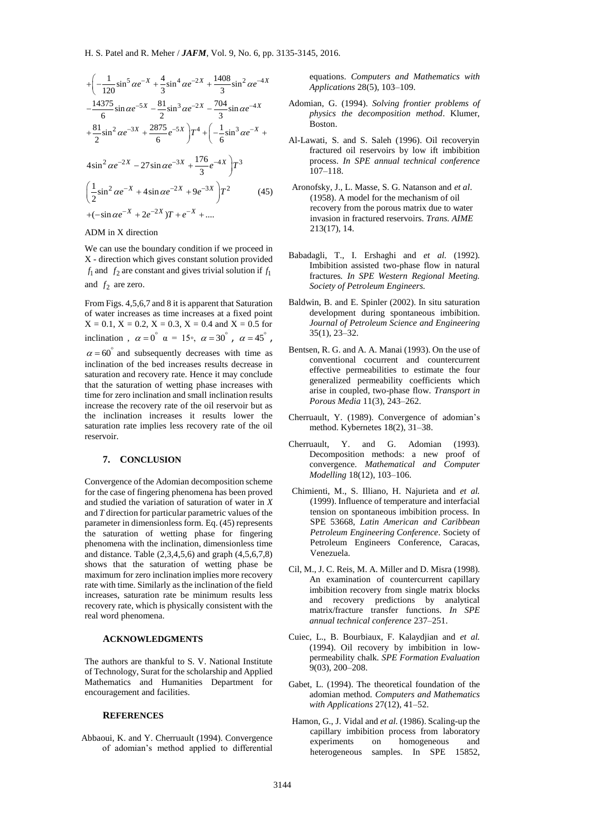$$
+\left(-\frac{1}{120}\sin^5 \alpha e^{-X} + \frac{4}{3}\sin^4 \alpha e^{-2X} + \frac{1408}{3}\sin^2 \alpha e^{-4X} - \frac{14375}{6}\sin \alpha e^{-5X} - \frac{81}{2}\sin^3 \alpha e^{-2X} - \frac{704}{3}\sin \alpha e^{-4X} + \frac{81}{2}\sin^2 \alpha e^{-3X} + \frac{2875}{6}e^{-5X}\right)T^4 + \left(-\frac{1}{6}\sin^3 \alpha e^{-X} + 4\sin^2 \alpha e^{-2X} - 27\sin \alpha e^{-3X} + \frac{176}{3}e^{-4X}\right)T^3
$$

$$
\left(\frac{1}{2}\sin^2 \alpha e^{-X} + 4\sin \alpha e^{-2X} + 9e^{-3X}\right)T^2 \tag{45}
$$

$$
+(-\sin \alpha e^{-X} + 2e^{-2X})T + e^{-X} + ....
$$

ADM in X direction

We can use the boundary condition if we proceed in X - direction which gives constant solution provided  $f_1$  and  $f_2$  are constant and gives trivial solution if  $f_1$ and  $f_2$  are zero.

From Figs. 4,5,6,7 and 8 it is apparent that Saturation of water increases as time increases at a fixed point  $X = 0.1$ ,  $X = 0.2$ ,  $X = 0.3$ ,  $X = 0.4$  and  $X = 0.5$  for inclination,  $\alpha = 0^{\degree}$   $\alpha = 15^{\degree}$ ,  $\alpha = 30^{\degree}$ ,  $\alpha = 45^{\degree}$ ,

 $\alpha$  = 60° and subsequently decreases with time as inclination of the bed increases results decrease in saturation and recovery rate. Hence it may conclude that the saturation of wetting phase increases with time for zero inclination and small inclination results increase the recovery rate of the oil reservoir but as the inclination increases it results lower the saturation rate implies less recovery rate of the oil reservoir.

#### **7. CONCLUSION**

Convergence of the Adomian decomposition scheme for the case of fingering phenomena has been proved and studied the variation of saturation of water in *X* and *T* direction for particular parametric values of the parameter in dimensionless form. Eq. (45) represents the saturation of wetting phase for fingering phenomena with the inclination, dimensionless time and distance. Table (2,3,4,5,6) and graph (4,5,6,7,8) shows that the saturation of wetting phase be maximum for zero inclination implies more recovery rate with time. Similarly as the inclination of the field increases, saturation rate be minimum results less recovery rate, which is physically consistent with the real word phenomena.

#### **ACKNOWLEDGMENTS**

The authors are thankful to S. V. National Institute of Technology, Surat for the scholarship and Applied Mathematics and Humanities Department for encouragement and facilities.

#### **REFERENCES**

Abbaoui, K. and Y. Cherruault (1994). Convergence of adomian's method applied to differential

equations. *Computers and Mathematics with Applications* 28(5), 103–109.

- Adomian, G. (1994). *Solving frontier problems of physics the decomposition method*. Klumer, Boston.
- Al-Lawati, S. and S. Saleh (1996). Oil recoveryin fractured oil reservoirs by low ift imbibition process. *In SPE annual technical conference*  $107 - 118$ .
- Aronofsky, J., L. Masse, S. G. Natanson and *et al*. (1958). A model for the mechanism of oil recovery from the porous matrix due to water invasion in fractured reservoirs. *Trans. AIME* 213(17), 14.
- Babadagli, T., I. Ershaghi and *et al.* (1992). Imbibition assisted two-phase flow in natural fractures*. In SPE Western Regional Meeting. Society of Petroleum Engineers.*
- Baldwin, B. and E. Spinler (2002). In situ saturation development during spontaneous imbibition. *Journal of Petroleum Science and Engineering* 35(1), 23–32.
- Bentsen, R. G. and A. A. Manai (1993). On the use of conventional cocurrent and countercurrent effective permeabilities to estimate the four generalized permeability coefficients which arise in coupled, two-phase flow. *Transport in Porous Media* 11(3), 243–262.
- Cherruault, Y. (1989). Convergence of adomian's method. Kybernetes 18(2), 31–38.
- Cherruault, Y. and G. Adomian (1993). Decomposition methods: a new proof of convergence. *Mathematical and Computer Modelling* 18(12), 103–106.
- Chimienti, M., S. Illiano, H. Najurieta and *et al.* (1999). Influence of temperature and interfacial tension on spontaneous imbibition process. In SPE 53668, *Latin American and Caribbean Petroleum Engineering Conference*. Society of Petroleum Engineers Conference, Caracas, Venezuela.
- Cil, M., J. C. Reis, M. A. Miller and D. Misra (1998). An examination of countercurrent capillary imbibition recovery from single matrix blocks and recovery predictions by analytical matrix/fracture transfer functions. *In SPE annual technical conference* 237–251.
- Cuiec, L., B. Bourbiaux, F. Kalaydjian and *et al.* (1994). Oil recovery by imbibition in lowpermeability chalk. *SPE Formation Evaluation* 9(03), 200–208.
- Gabet, L. (1994). The theoretical foundation of the adomian method*. Computers and Mathematics with Applications* 27(12), 41–52.
- Hamon, G., J. Vidal and *et al.* (1986). Scaling-up the capillary imbibition process from laboratory experiments on homogeneous and heterogeneous samples. In SPE 15852,